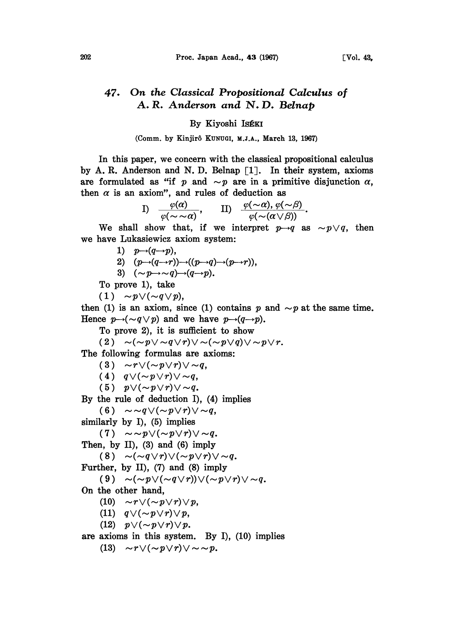## 47. On the Classical Propositional Calculus of A. R. Anderson and N. D. Belnap

## By Kiyoshi IsÉKI

(Comm. by Kinjirô KUNUGI, M.J.A., March 13, 1967)

In this paper, we concern with the classical propositional calculus by A. R. Anderson and N. D. Belnap  $\lceil 1 \rceil$ . In their system, axioms are formulated as "if p and  $\sim p$  are in a primitive disjunction  $\alpha$ , then  $\alpha$  is an axiom", and rules of deduction as

I) 
$$
\frac{\varphi(\alpha)}{\varphi(\sim \sim \alpha)},
$$
 II)  $\frac{\varphi(\sim \alpha), \varphi(\sim \beta)}{\varphi(\sim (\alpha \vee \beta))}.$ 

We shall show that, if we interpret  $p \rightarrow q$  as  $\sim p \vee q$ , then we have Lukasiewicz axiom system:

1)  $p \rightarrow (q \rightarrow p)$ ,

- 2)  $(p\rightarrow (q\rightarrow r))\rightarrow ((p\rightarrow q)\rightarrow (p\rightarrow r)),$
- 3)  $(\sim p \rightarrow \sim q) \rightarrow (q \rightarrow p)$ .

To prove 1), take

 $(1) \sim p \vee (\sim q \vee p),$ 

then (1) is an axiom, since (1) contains p and  $\sim p$  at the same time. Hence  $p \rightarrow (\sim q \lor p)$  and we have  $p \rightarrow (q \rightarrow p)$ .

To prove 2), it is sufficient to show

$$
(2) \quad \sim (\sim p \vee \sim q \vee r) \vee \sim (\sim p \vee q) \vee \sim p \vee r.
$$

The following formulas are axioms:

(3)  $\sim r \vee (\sim p \vee r) \vee \sim q$ ,

(4)  $q \vee (\sim p \vee r) \vee \sim q$ ,

(5)  $p \vee (\sim p \vee r) \vee \sim q$ .

By the rule of deduction I), (4) implies

(6)  $\sim \sim q \vee (\sim p \vee r) \vee \sim q$ ,

similarly by I), (5) implies

(7)  $\sim \sim p \vee (\sim p \vee r) \vee \sim q$ .

Then, by II), (3) and (6) imply

(8)  $\sim$   $(\sim q \vee r) \vee (\sim p \vee r) \vee \sim q$ .

Further, by II), (7) and (8) imply

(9)  $\sim$   $(\sim p \vee (\sim q \vee r)) \vee (\sim p \vee r) \vee \sim q$ .

On the other hand,

(10)  $\sim r \vee (\sim p \vee r) \vee p$ ,

- (11)  $q \vee (\sim p \vee r) \vee p$ ,
- (12)  $p \vee (\sim p \vee r) \vee p$ .

are axioms in this system. By I), (10) implies

(13)  $\sim r \vee (\sim p \vee r) \vee \sim \sim p$ .